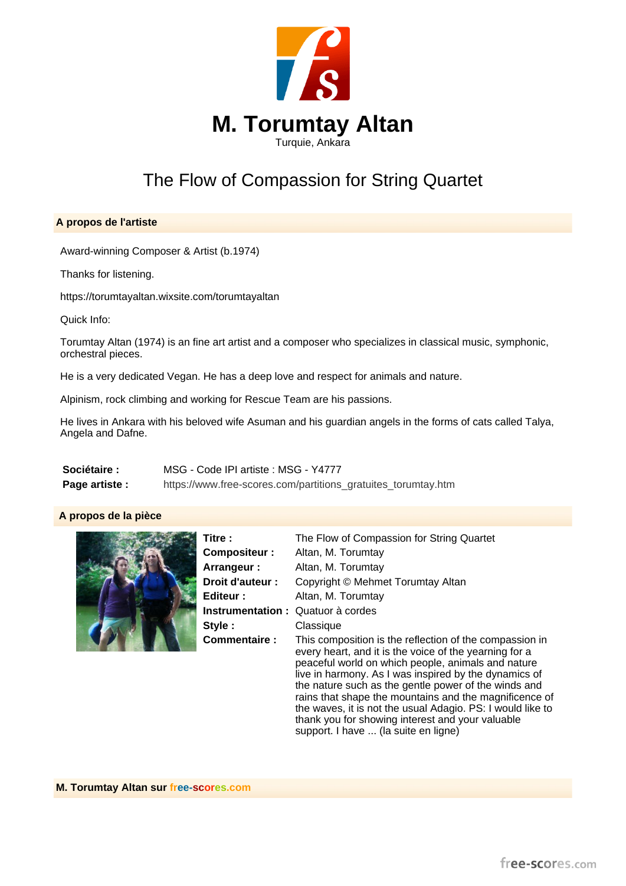

## The Flow of Compassion for String Quartet

**A propos de l'artiste**

Award-winning Composer & Artist (b.1974)

Thanks for listening.

https://torumtayaltan.wixsite.com/torumtayaltan

Quick Info:

Torumtay Altan (1974) is an fine art artist and a composer who specializes in classical music, symphonic, orchestral pieces.

He is a very dedicated Vegan. He has a deep love and respect for animals and nature.

Alpinism, rock climbing and working for Rescue Team are his passions.

He lives in Ankara with his beloved wife Asuman and his guardian angels in the forms of cats called Talya, Angela and Dafne.

| Sociétaire :   | MSG - Code IPI artiste: MSG - Y4777                           |
|----------------|---------------------------------------------------------------|
| Page artiste : | https://www.free-scores.com/partitions_gratuites_torumtay.htm |

## **A propos de la pièce**



| Titre :                           | The Flow of Compassion for String Quartet                                                                                                                                                                                                                                                                                                                                                                                                                                                                    |
|-----------------------------------|--------------------------------------------------------------------------------------------------------------------------------------------------------------------------------------------------------------------------------------------------------------------------------------------------------------------------------------------------------------------------------------------------------------------------------------------------------------------------------------------------------------|
| <b>Compositeur:</b>               | Altan, M. Torumtay                                                                                                                                                                                                                                                                                                                                                                                                                                                                                           |
| Arrangeur :                       | Altan, M. Torumtay                                                                                                                                                                                                                                                                                                                                                                                                                                                                                           |
| Droit d'auteur :                  | Copyright © Mehmet Torumtay Altan                                                                                                                                                                                                                                                                                                                                                                                                                                                                            |
| Editeur :                         | Altan, M. Torumtay                                                                                                                                                                                                                                                                                                                                                                                                                                                                                           |
| Instrumentation: Quatuor à cordes |                                                                                                                                                                                                                                                                                                                                                                                                                                                                                                              |
| Style :                           | Classique                                                                                                                                                                                                                                                                                                                                                                                                                                                                                                    |
| <b>Commentaire:</b>               | This composition is the reflection of the compassion in<br>every heart, and it is the voice of the yearning for a<br>peaceful world on which people, animals and nature<br>live in harmony. As I was inspired by the dynamics of<br>the nature such as the gentle power of the winds and<br>rains that shape the mountains and the magnificence of<br>the waves, it is not the usual Adagio. PS: I would like to<br>thank you for showing interest and your valuable<br>support. I have  (la suite en ligne) |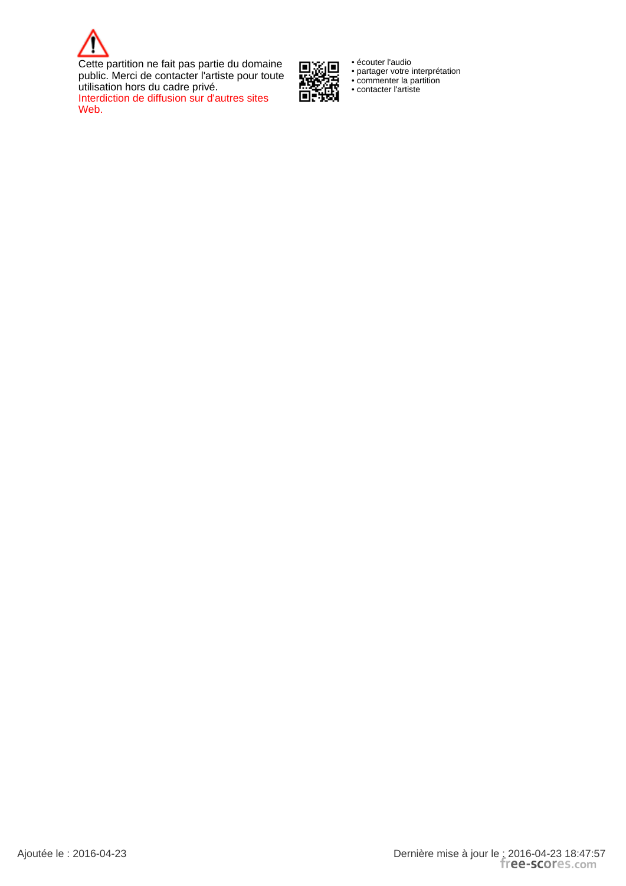

Cette partition ne fait pas partie du domaine public. Merci de contacter l'artiste pour toute utilisation hors du cadre privé.

Interdiction de diffusion sur d'autres sites Web.

• écouter l'audio

真溪画 z

回答数

- partager votre interprétation
- commenter la partition
- contacter l'artiste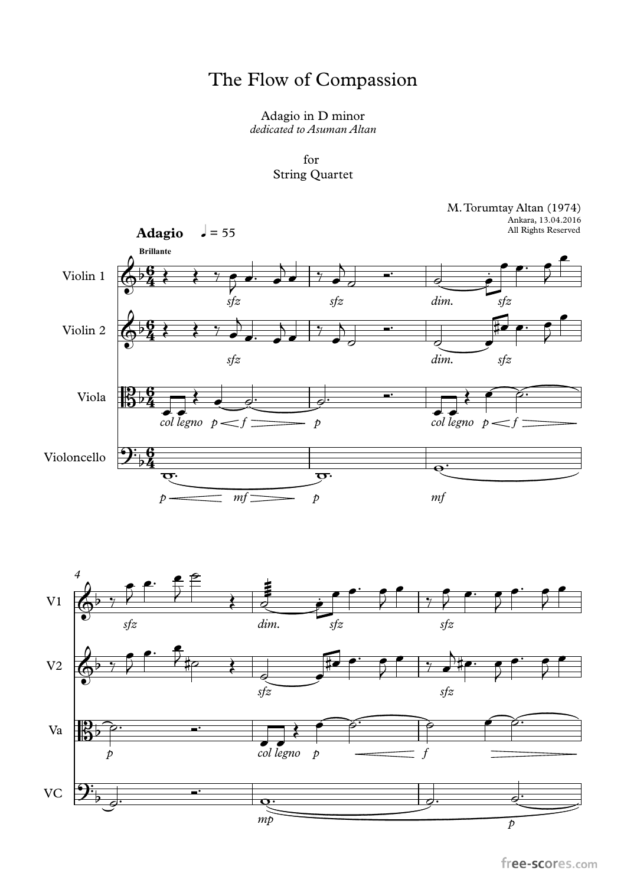## The Flow of Compassion

Adagio in D minor

*dedicated to Asuman Altan*

for String Quartet



free-scores.com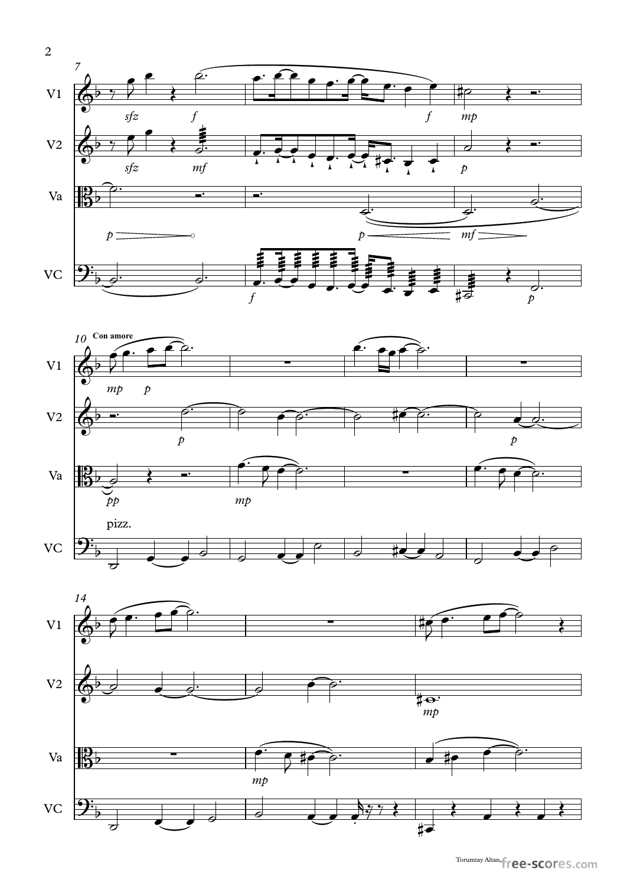





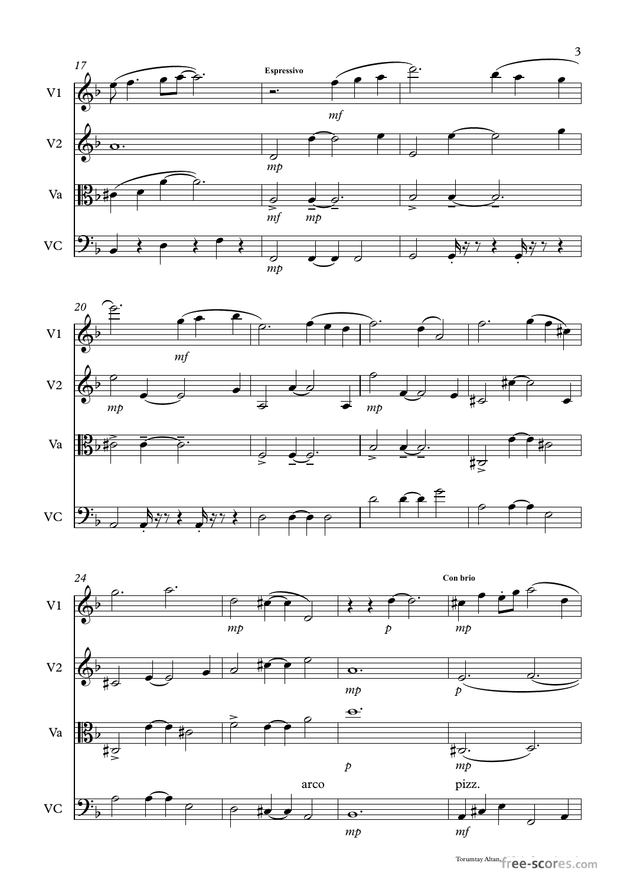



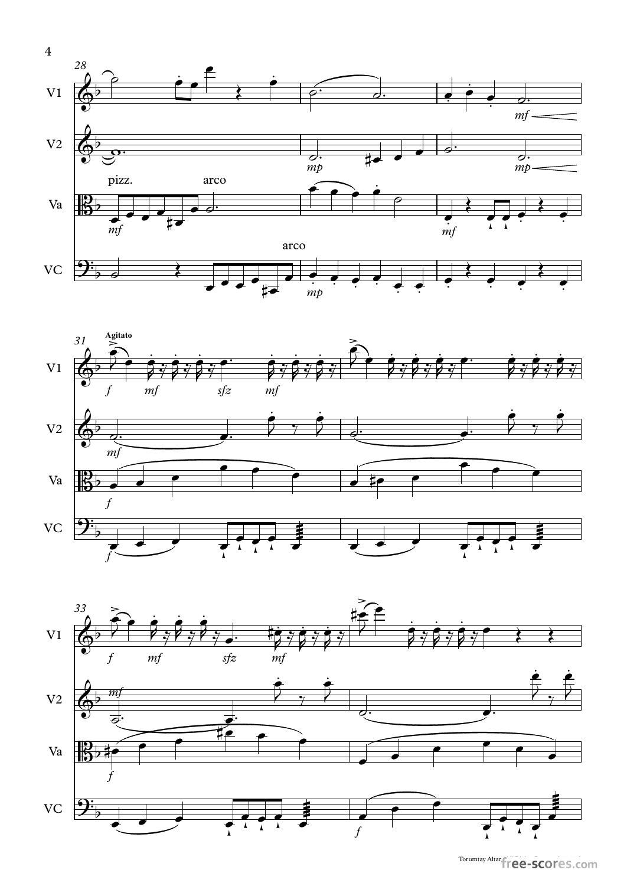





Torumtay Altan<sub>1</sub> **Tee-scores**.com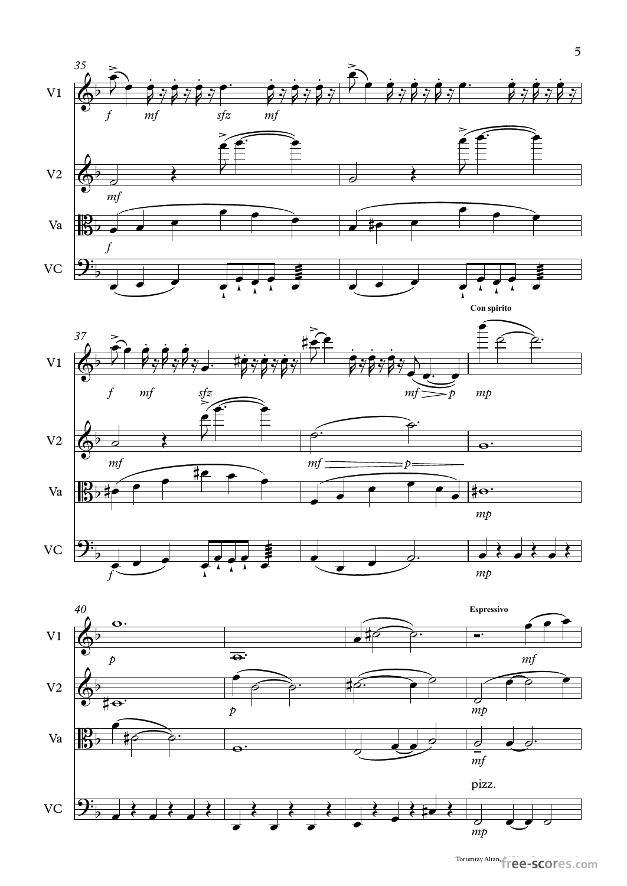



![](_page_6_Figure_2.jpeg)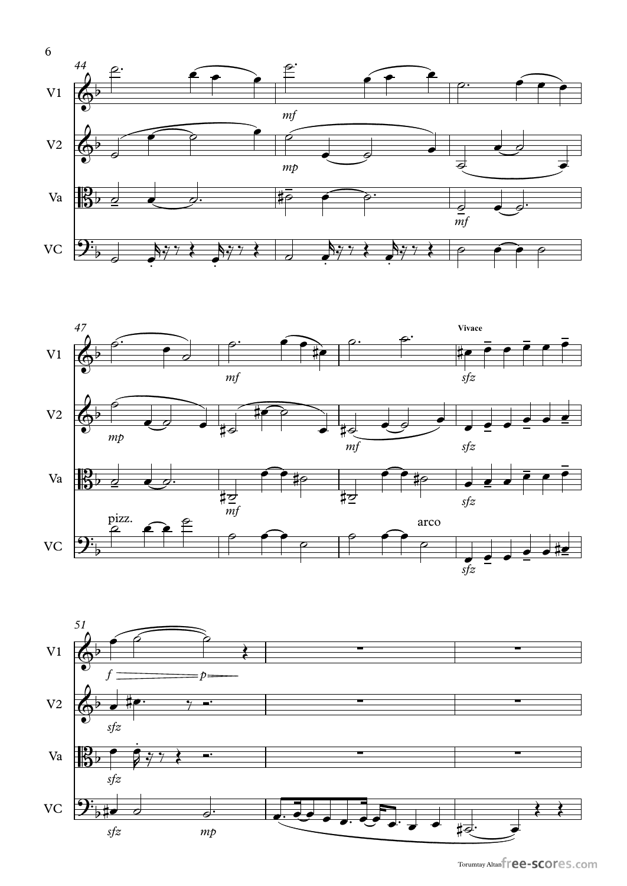![](_page_7_Figure_0.jpeg)

![](_page_7_Figure_1.jpeg)

![](_page_7_Figure_2.jpeg)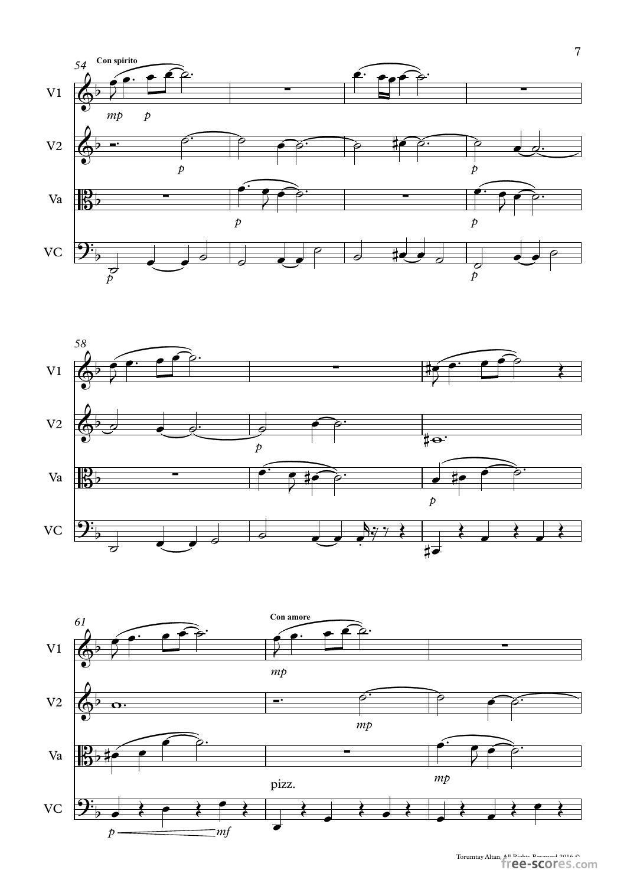![](_page_8_Figure_0.jpeg)

![](_page_8_Figure_1.jpeg)

![](_page_8_Figure_2.jpeg)

Torumtay Altan, All Rights [Reserved](http://www.free-scores.com) 2016 Company Altan Reserved 2016 Company Altan Reserved 2016 Company Altan Reserved 2016 Company Altan Reserved 2016 Company Altan Reserved 2016 Company Altan Reserved 2016 Company Altan